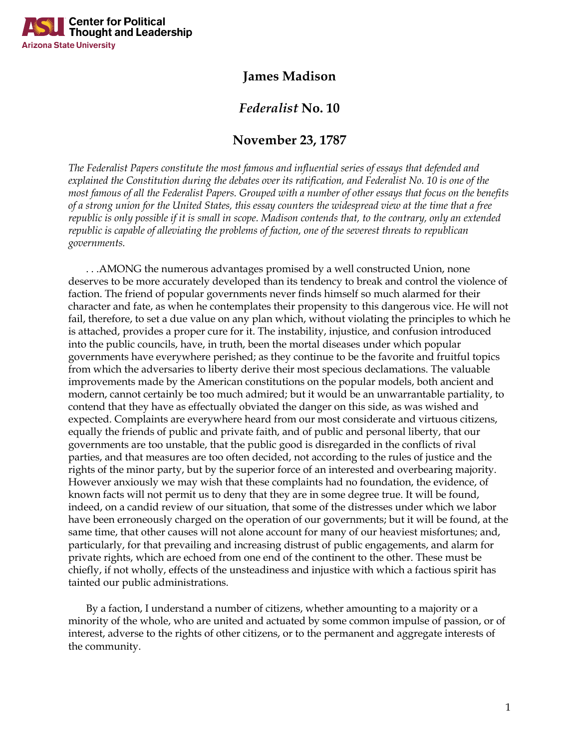

## **James Madison**

## *Federalist* **No. 10**

## **November 23, 1787**

*The Federalist Papers constitute the most famous and influential series of essays that defended and explained the Constitution during the debates over its ratification, and Federalist No. 10 is one of the most famous of all the Federalist Papers. Grouped with a number of other essays that focus on the benefits of a strong union for the United States, this essay counters the widespread view at the time that a free republic is only possible if it is small in scope. Madison contends that, to the contrary, only an extended republic is capable of alleviating the problems of faction, one of the severest threats to republican governments.*

. . .AMONG the numerous advantages promised by a well constructed Union, none deserves to be more accurately developed than its tendency to break and control the violence of faction. The friend of popular governments never finds himself so much alarmed for their character and fate, as when he contemplates their propensity to this dangerous vice. He will not fail, therefore, to set a due value on any plan which, without violating the principles to which he is attached, provides a proper cure for it. The instability, injustice, and confusion introduced into the public councils, have, in truth, been the mortal diseases under which popular governments have everywhere perished; as they continue to be the favorite and fruitful topics from which the adversaries to liberty derive their most specious declamations. The valuable improvements made by the American constitutions on the popular models, both ancient and modern, cannot certainly be too much admired; but it would be an unwarrantable partiality, to contend that they have as effectually obviated the danger on this side, as was wished and expected. Complaints are everywhere heard from our most considerate and virtuous citizens, equally the friends of public and private faith, and of public and personal liberty, that our governments are too unstable, that the public good is disregarded in the conflicts of rival parties, and that measures are too often decided, not according to the rules of justice and the rights of the minor party, but by the superior force of an interested and overbearing majority. However anxiously we may wish that these complaints had no foundation, the evidence, of known facts will not permit us to deny that they are in some degree true. It will be found, indeed, on a candid review of our situation, that some of the distresses under which we labor have been erroneously charged on the operation of our governments; but it will be found, at the same time, that other causes will not alone account for many of our heaviest misfortunes; and, particularly, for that prevailing and increasing distrust of public engagements, and alarm for private rights, which are echoed from one end of the continent to the other. These must be chiefly, if not wholly, effects of the unsteadiness and injustice with which a factious spirit has tainted our public administrations.

By a faction, I understand a number of citizens, whether amounting to a majority or a minority of the whole, who are united and actuated by some common impulse of passion, or of interest, adverse to the rights of other citizens, or to the permanent and aggregate interests of the community.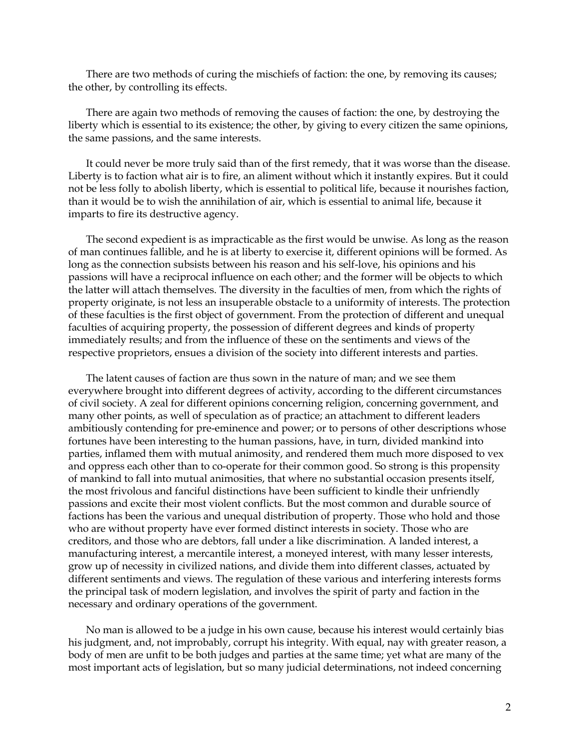There are two methods of curing the mischiefs of faction: the one, by removing its causes; the other, by controlling its effects.

There are again two methods of removing the causes of faction: the one, by destroying the liberty which is essential to its existence; the other, by giving to every citizen the same opinions, the same passions, and the same interests.

It could never be more truly said than of the first remedy, that it was worse than the disease. Liberty is to faction what air is to fire, an aliment without which it instantly expires. But it could not be less folly to abolish liberty, which is essential to political life, because it nourishes faction, than it would be to wish the annihilation of air, which is essential to animal life, because it imparts to fire its destructive agency.

The second expedient is as impracticable as the first would be unwise. As long as the reason of man continues fallible, and he is at liberty to exercise it, different opinions will be formed. As long as the connection subsists between his reason and his self-love, his opinions and his passions will have a reciprocal influence on each other; and the former will be objects to which the latter will attach themselves. The diversity in the faculties of men, from which the rights of property originate, is not less an insuperable obstacle to a uniformity of interests. The protection of these faculties is the first object of government. From the protection of different and unequal faculties of acquiring property, the possession of different degrees and kinds of property immediately results; and from the influence of these on the sentiments and views of the respective proprietors, ensues a division of the society into different interests and parties.

The latent causes of faction are thus sown in the nature of man; and we see them everywhere brought into different degrees of activity, according to the different circumstances of civil society. A zeal for different opinions concerning religion, concerning government, and many other points, as well of speculation as of practice; an attachment to different leaders ambitiously contending for pre-eminence and power; or to persons of other descriptions whose fortunes have been interesting to the human passions, have, in turn, divided mankind into parties, inflamed them with mutual animosity, and rendered them much more disposed to vex and oppress each other than to co-operate for their common good. So strong is this propensity of mankind to fall into mutual animosities, that where no substantial occasion presents itself, the most frivolous and fanciful distinctions have been sufficient to kindle their unfriendly passions and excite their most violent conflicts. But the most common and durable source of factions has been the various and unequal distribution of property. Those who hold and those who are without property have ever formed distinct interests in society. Those who are creditors, and those who are debtors, fall under a like discrimination. A landed interest, a manufacturing interest, a mercantile interest, a moneyed interest, with many lesser interests, grow up of necessity in civilized nations, and divide them into different classes, actuated by different sentiments and views. The regulation of these various and interfering interests forms the principal task of modern legislation, and involves the spirit of party and faction in the necessary and ordinary operations of the government.

No man is allowed to be a judge in his own cause, because his interest would certainly bias his judgment, and, not improbably, corrupt his integrity. With equal, nay with greater reason, a body of men are unfit to be both judges and parties at the same time; yet what are many of the most important acts of legislation, but so many judicial determinations, not indeed concerning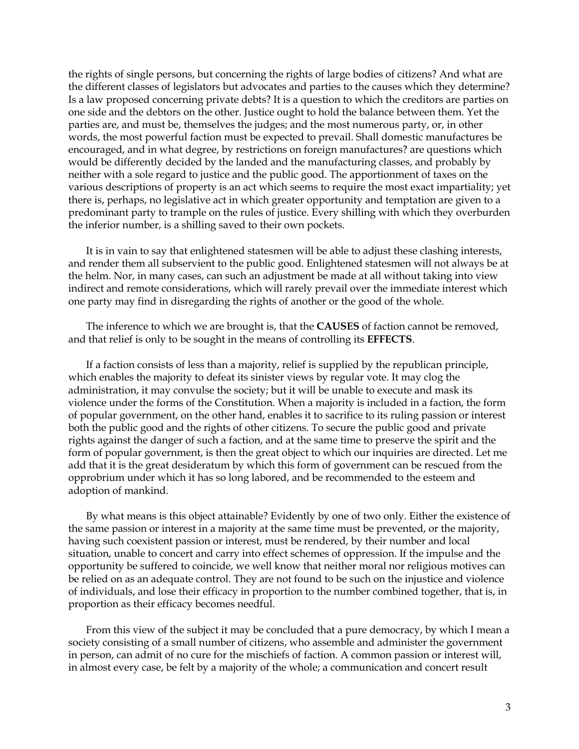the rights of single persons, but concerning the rights of large bodies of citizens? And what are the different classes of legislators but advocates and parties to the causes which they determine? Is a law proposed concerning private debts? It is a question to which the creditors are parties on one side and the debtors on the other. Justice ought to hold the balance between them. Yet the parties are, and must be, themselves the judges; and the most numerous party, or, in other words, the most powerful faction must be expected to prevail. Shall domestic manufactures be encouraged, and in what degree, by restrictions on foreign manufactures? are questions which would be differently decided by the landed and the manufacturing classes, and probably by neither with a sole regard to justice and the public good. The apportionment of taxes on the various descriptions of property is an act which seems to require the most exact impartiality; yet there is, perhaps, no legislative act in which greater opportunity and temptation are given to a predominant party to trample on the rules of justice. Every shilling with which they overburden the inferior number, is a shilling saved to their own pockets.

It is in vain to say that enlightened statesmen will be able to adjust these clashing interests, and render them all subservient to the public good. Enlightened statesmen will not always be at the helm. Nor, in many cases, can such an adjustment be made at all without taking into view indirect and remote considerations, which will rarely prevail over the immediate interest which one party may find in disregarding the rights of another or the good of the whole.

The inference to which we are brought is, that the **CAUSES** of faction cannot be removed, and that relief is only to be sought in the means of controlling its **EFFECTS**.

If a faction consists of less than a majority, relief is supplied by the republican principle, which enables the majority to defeat its sinister views by regular vote. It may clog the administration, it may convulse the society; but it will be unable to execute and mask its violence under the forms of the Constitution. When a majority is included in a faction, the form of popular government, on the other hand, enables it to sacrifice to its ruling passion or interest both the public good and the rights of other citizens. To secure the public good and private rights against the danger of such a faction, and at the same time to preserve the spirit and the form of popular government, is then the great object to which our inquiries are directed. Let me add that it is the great desideratum by which this form of government can be rescued from the opprobrium under which it has so long labored, and be recommended to the esteem and adoption of mankind.

By what means is this object attainable? Evidently by one of two only. Either the existence of the same passion or interest in a majority at the same time must be prevented, or the majority, having such coexistent passion or interest, must be rendered, by their number and local situation, unable to concert and carry into effect schemes of oppression. If the impulse and the opportunity be suffered to coincide, we well know that neither moral nor religious motives can be relied on as an adequate control. They are not found to be such on the injustice and violence of individuals, and lose their efficacy in proportion to the number combined together, that is, in proportion as their efficacy becomes needful.

From this view of the subject it may be concluded that a pure democracy, by which I mean a society consisting of a small number of citizens, who assemble and administer the government in person, can admit of no cure for the mischiefs of faction. A common passion or interest will, in almost every case, be felt by a majority of the whole; a communication and concert result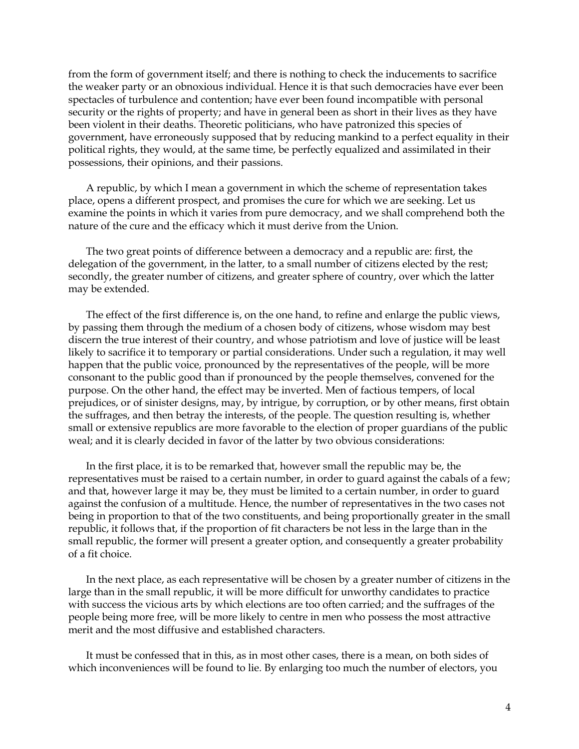from the form of government itself; and there is nothing to check the inducements to sacrifice the weaker party or an obnoxious individual. Hence it is that such democracies have ever been spectacles of turbulence and contention; have ever been found incompatible with personal security or the rights of property; and have in general been as short in their lives as they have been violent in their deaths. Theoretic politicians, who have patronized this species of government, have erroneously supposed that by reducing mankind to a perfect equality in their political rights, they would, at the same time, be perfectly equalized and assimilated in their possessions, their opinions, and their passions.

A republic, by which I mean a government in which the scheme of representation takes place, opens a different prospect, and promises the cure for which we are seeking. Let us examine the points in which it varies from pure democracy, and we shall comprehend both the nature of the cure and the efficacy which it must derive from the Union.

The two great points of difference between a democracy and a republic are: first, the delegation of the government, in the latter, to a small number of citizens elected by the rest; secondly, the greater number of citizens, and greater sphere of country, over which the latter may be extended.

The effect of the first difference is, on the one hand, to refine and enlarge the public views, by passing them through the medium of a chosen body of citizens, whose wisdom may best discern the true interest of their country, and whose patriotism and love of justice will be least likely to sacrifice it to temporary or partial considerations. Under such a regulation, it may well happen that the public voice, pronounced by the representatives of the people, will be more consonant to the public good than if pronounced by the people themselves, convened for the purpose. On the other hand, the effect may be inverted. Men of factious tempers, of local prejudices, or of sinister designs, may, by intrigue, by corruption, or by other means, first obtain the suffrages, and then betray the interests, of the people. The question resulting is, whether small or extensive republics are more favorable to the election of proper guardians of the public weal; and it is clearly decided in favor of the latter by two obvious considerations:

In the first place, it is to be remarked that, however small the republic may be, the representatives must be raised to a certain number, in order to guard against the cabals of a few; and that, however large it may be, they must be limited to a certain number, in order to guard against the confusion of a multitude. Hence, the number of representatives in the two cases not being in proportion to that of the two constituents, and being proportionally greater in the small republic, it follows that, if the proportion of fit characters be not less in the large than in the small republic, the former will present a greater option, and consequently a greater probability of a fit choice.

In the next place, as each representative will be chosen by a greater number of citizens in the large than in the small republic, it will be more difficult for unworthy candidates to practice with success the vicious arts by which elections are too often carried; and the suffrages of the people being more free, will be more likely to centre in men who possess the most attractive merit and the most diffusive and established characters.

It must be confessed that in this, as in most other cases, there is a mean, on both sides of which inconveniences will be found to lie. By enlarging too much the number of electors, you